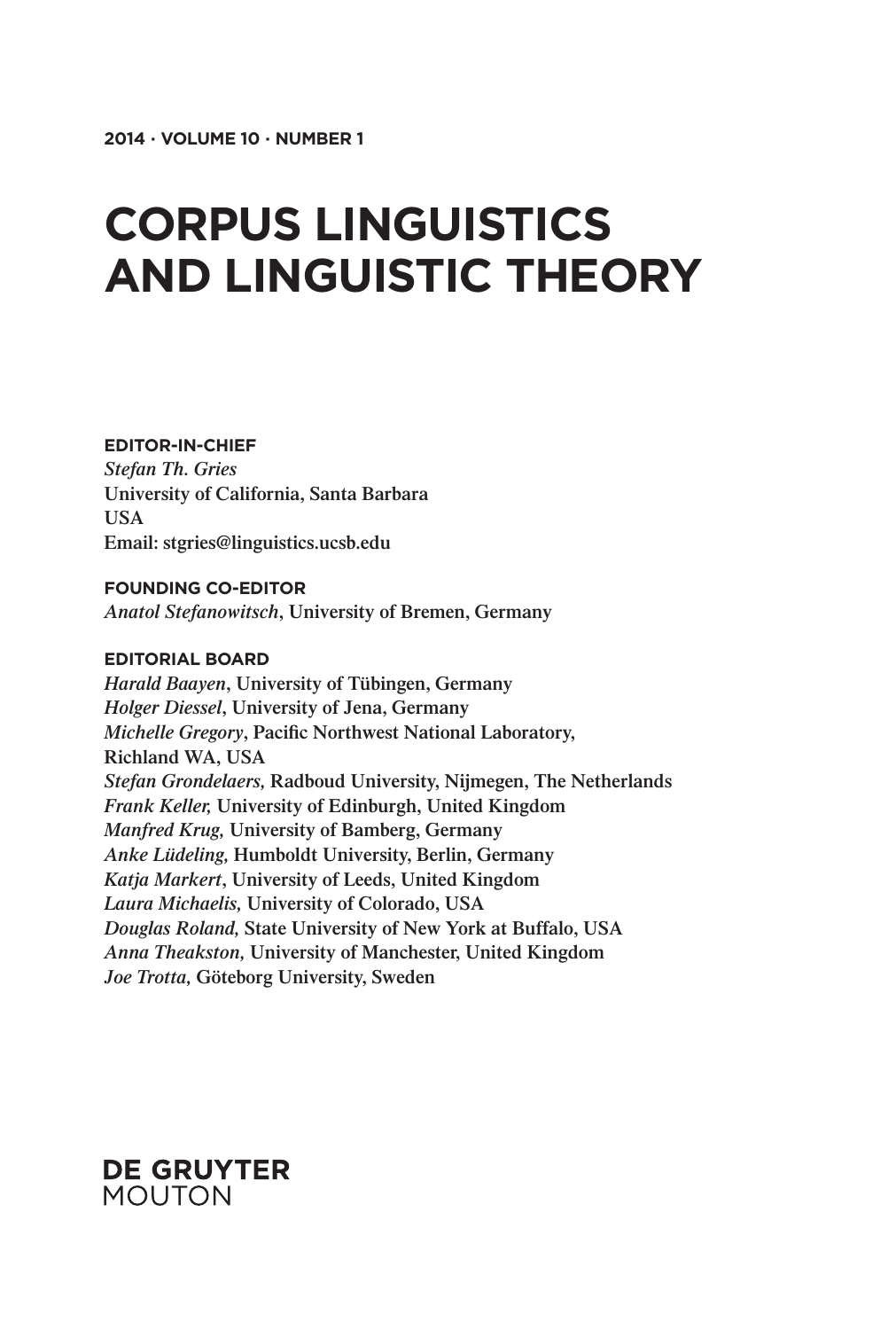# **Corpus Linguistics and Linguistic Theory**

#### **Editor-in-Chief**

*Stefan Th. Gries* **University of California, Santa Barbara USA Email: stgries@linguistics.ucsb.edu**

#### **FOUNDING CO-EDITOR**

*Anatol Stefanowitsch***, University of Bremen, Germany**

#### **Editorial Board**

*Harald Baayen***, University of Tübingen, Germany** *Holger Diessel***, University of Jena, Germany** *Michelle Gregory***, Pacific Northwest National Laboratory, Richland WA, USA** *Stefan Grondelaers,* **Radboud University, Nijmegen, The Netherlands** *Frank Keller,* **University of Edinburgh, United Kingdom** *Manfred Krug,* **University of Bamberg, Germany** *Anke Lüdeling,* **Humboldt University, Berlin, Germany** *Katja Markert***, University of Leeds, United Kingdom** *Laura Michaelis,* **University of Colorado, USA** *Douglas Roland,* **State University of New York at Buffalo, USA** *Anna Theakston,* **University of Manchester, United Kingdom** *Joe Trotta,* **Göteborg University, Sweden**

### **DE GRUYTER MOUTON**